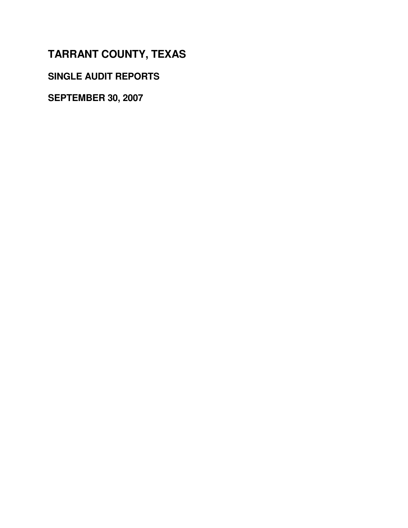**SINGLE AUDIT REPORTS**

**SEPTEMBER 30, 2007**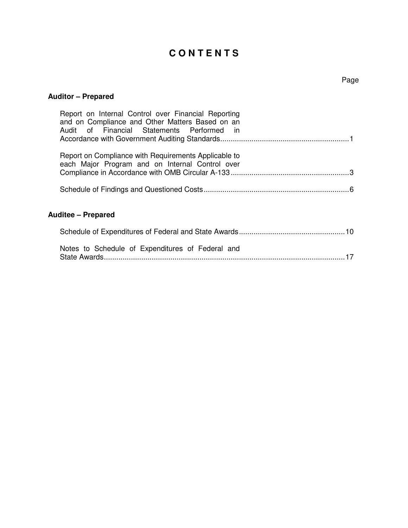# **C O N T E N T S**

# **Auditor – Prepared**

| Report on Internal Control over Financial Reporting<br>and on Compliance and Other Matters Based on an<br>Audit of Financial Statements Performed in |    |
|------------------------------------------------------------------------------------------------------------------------------------------------------|----|
| Report on Compliance with Requirements Applicable to<br>each Major Program and on Internal Control over                                              |    |
|                                                                                                                                                      |    |
| <b>Auditee – Prepared</b>                                                                                                                            |    |
|                                                                                                                                                      |    |
| Notes to Schedule of Expenditures of Federal and                                                                                                     | 17 |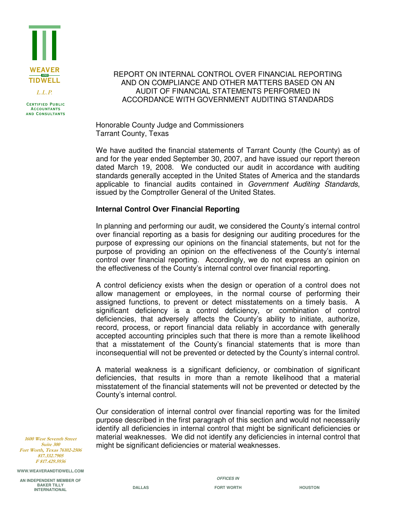

**CERTIFIED PUBLIC Accountants and Consultants**

### REPORT ON INTERNAL CONTROL OVER FINANCIAL REPORTING AND ON COMPLIANCE AND OTHER MATTERS BASED ON AN AUDIT OF FINANCIAL STATEMENTS PERFORMED IN ACCORDANCE WITH GOVERNMENT AUDITING STANDARDS

Honorable County Judge and Commissioners Tarrant County, Texas

We have audited the financial statements of Tarrant County (the County) as of and for the year ended September 30, 2007, and have issued our report thereon dated March 19, 2008. We conducted our audit in accordance with auditing standards generally accepted in the United States of America and the standards applicable to financial audits contained in *Government Auditing Standards*, issued by the Comptroller General of the United States.

### **Internal Control Over Financial Reporting**

In planning and performing our audit, we considered the County's internal control over financial reporting as a basis for designing our auditing procedures for the purpose of expressing our opinions on the financial statements, but not for the purpose of providing an opinion on the effectiveness of the County's internal control over financial reporting. Accordingly, we do not express an opinion on the effectiveness of the County's internal control over financial reporting.

A control deficiency exists when the design or operation of a control does not allow management or employees, in the normal course of performing their assigned functions, to prevent or detect misstatements on a timely basis. A significant deficiency is a control deficiency, or combination of control deficiencies, that adversely affects the County's ability to initiate, authorize, record, process, or report financial data reliably in accordance with generally accepted accounting principles such that there is more than a remote likelihood that a misstatement of the County's financial statements that is more than inconsequential will not be prevented or detected by the County's internal control.

A material weakness is a significant deficiency, or combination of significant deficiencies, that results in more than a remote likelihood that a material misstatement of the financial statements will not be prevented or detected by the County's internal control.

Our consideration of internal control over financial reporting was for the limited purpose described in the first paragraph of this section and would not necessarily identify all deficiencies in internal control that might be significant deficiencies or material weaknesses. We did not identify any deficiencies in internal control that might be significant deficiencies or material weaknesses.

**1600 West Seventh Street** Suite 300 Fort Worth, Texas 76102-2506 817.332.7905 F 817.429.5936

**WWW.WEAVERANDTIDWELL.COM** 

**AN INDEPENDENT MEMBER OF BAKER TILLY INTERNATIONAL** 

*OFFICES IN*  **DALLAS** FORT WORTH **HOUSTON**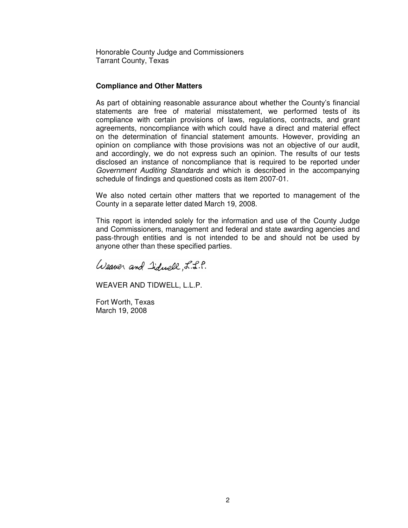Honorable County Judge and Commissioners Tarrant County, Texas

#### **Compliance and Other Matters**

As part of obtaining reasonable assurance about whether the County's financial statements are free of material misstatement, we performed tests of its compliance with certain provisions of laws, regulations, contracts, and grant agreements, noncompliance with which could have a direct and material effect on the determination of financial statement amounts. However, providing an opinion on compliance with those provisions was not an objective of our audit, and accordingly, we do not express such an opinion. The results of our tests disclosed an instance of noncompliance that is required to be reported under *Government Auditing Standards* and which is described in the accompanying schedule of findings and questioned costs as item 2007-01.

We also noted certain other matters that we reported to management of the County in a separate letter dated March 19, 2008.

This report is intended solely for the information and use of the County Judge and Commissioners, management and federal and state awarding agencies and pass-through entities and is not intended to be and should not be used by anyone other than these specified parties.

Weaver and Iiduell, L.L.P.

WEAVER AND TIDWELL, L.L.P.

Fort Worth, Texas March 19, 2008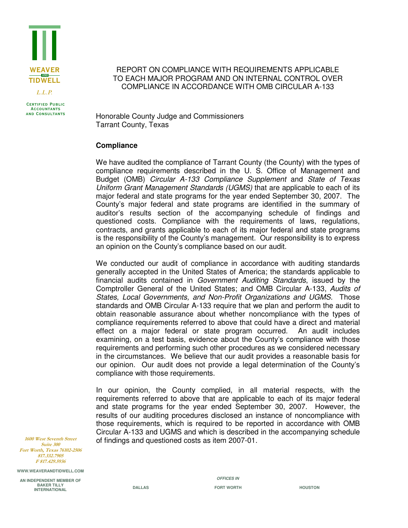

**CERTIFIED PUBLIC Accountants and Consultants**

### REPORT ON COMPLIANCE WITH REQUIREMENTS APPLICABLE TO EACH MAJOR PROGRAM AND ON INTERNAL CONTROL OVER COMPLIANCE IN ACCORDANCE WITH OMB CIRCULAR A-133

Honorable County Judge and Commissioners Tarrant County, Texas

#### **Compliance**

We have audited the compliance of Tarrant County (the County) with the types of compliance requirements described in the U. S. Office of Management and Budget (OMB) *Circular A-133 Compliance Supplement* and *State of Texas Uniform Grant Management Standards (UGMS)* that are applicable to each of its major federal and state programs for the year ended September 30, 2007. The County's major federal and state programs are identified in the summary of auditor's results section of the accompanying schedule of findings and questioned costs. Compliance with the requirements of laws, regulations, contracts, and grants applicable to each of its major federal and state programs is the responsibility of the County's management. Our responsibility is to express an opinion on the County's compliance based on our audit.

We conducted our audit of compliance in accordance with auditing standards generally accepted in the United States of America; the standards applicable to financial audits contained in *Government Auditing Standards*, issued by the Comptroller General of the United States; and OMB Circular A-133, *Audits of States, Local Governments, and Non-Profit Organizations and UGMS.* Those standards and OMB Circular A-133 require that we plan and perform the audit to obtain reasonable assurance about whether noncompliance with the types of compliance requirements referred to above that could have a direct and material effect on a major federal or state program occurred. An audit includes examining, on a test basis, evidence about the County's compliance with those requirements and performing such other procedures as we considered necessary in the circumstances. We believe that our audit provides a reasonable basis for our opinion. Our audit does not provide a legal determination of the County's compliance with those requirements.

In our opinion, the County complied, in all material respects, with the requirements referred to above that are applicable to each of its major federal and state programs for the year ended September 30, 2007. However, the results of our auditing procedures disclosed an instance of noncompliance with those requirements, which is required to be reported in accordance with OMB Circular A-133 and UGMS and which is described in the accompanying schedule of findings and questioned costs as item 2007-01.

**1600 West Seventh Street** Suite 300 Fort Worth, Texas 76102-2506 817.332.7905 F 817.429.5936

**WWW.WEAVERANDTIDWELL.COM** 

**AN INDEPENDENT MEMBER OF BAKER TILLY INTERNATIONAL** 

*OFFICES IN*  **DALLAS** FORT WORTH **HOUSTON**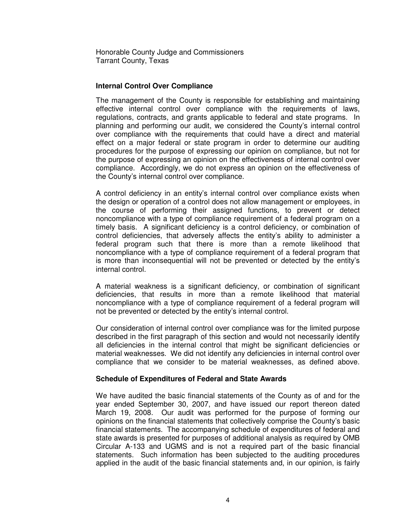Honorable County Judge and Commissioners Tarrant County, Texas

### **Internal Control Over Compliance**

The management of the County is responsible for establishing and maintaining effective internal control over compliance with the requirements of laws, regulations, contracts, and grants applicable to federal and state programs. In planning and performing our audit, we considered the County's internal control over compliance with the requirements that could have a direct and material effect on a major federal or state program in order to determine our auditing procedures for the purpose of expressing our opinion on compliance, but not for the purpose of expressing an opinion on the effectiveness of internal control over compliance. Accordingly, we do not express an opinion on the effectiveness of the County's internal control over compliance.

A control deficiency in an entity's internal control over compliance exists when the design or operation of a control does not allow management or employees, in the course of performing their assigned functions, to prevent or detect noncompliance with a type of compliance requirement of a federal program on a timely basis. A significant deficiency is a control deficiency, or combination of control deficiencies, that adversely affects the entity's ability to administer a federal program such that there is more than a remote likelihood that noncompliance with a type of compliance requirement of a federal program that is more than inconsequential will not be prevented or detected by the entity's internal control.

A material weakness is a significant deficiency, or combination of significant deficiencies, that results in more than a remote likelihood that material noncompliance with a type of compliance requirement of a federal program will not be prevented or detected by the entity's internal control.

Our consideration of internal control over compliance was for the limited purpose described in the first paragraph of this section and would not necessarily identify all deficiencies in the internal control that might be significant deficiencies or material weaknesses. We did not identify any deficiencies in internal control over compliance that we consider to be material weaknesses, as defined above.

#### **Schedule of Expenditures of Federal and State Awards**

We have audited the basic financial statements of the County as of and for the year ended September 30, 2007, and have issued our report thereon dated March 19, 2008. Our audit was performed for the purpose of forming our opinions on the financial statements that collectively comprise the County's basic financial statements. The accompanying schedule of expenditures of federal and state awards is presented for purposes of additional analysis as required by OMB Circular A-133 and UGMS and is not a required part of the basic financial statements. Such information has been subjected to the auditing procedures applied in the audit of the basic financial statements and, in our opinion, is fairly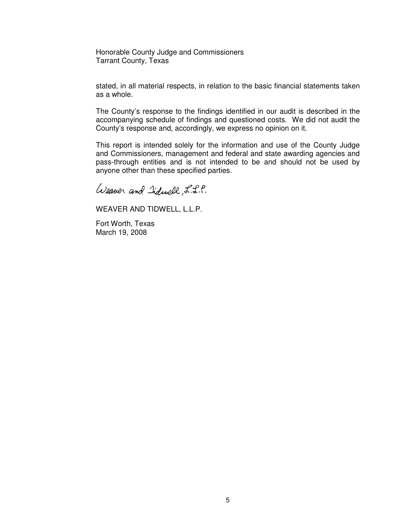Honorable County Judge and Commissioners Tarrant County, Texas

stated, in all material respects, in relation to the basic financial statements taken as a whole.

The County's response to the findings identified in our audit is described in the accompanying schedule of findings and questioned costs. We did not audit the County's response and, accordingly, we express no opinion on it.

This report is intended solely for the information and use of the County Judge and Commissioners, management and federal and state awarding agencies and pass-through entities and is not intended to be and should not be used by anyone other than these specified parties.

Weaver and Iduell, L.L.P.

WEAVER AND TIDWELL, L.L.P.

Fort Worth, Texas March 19, 2008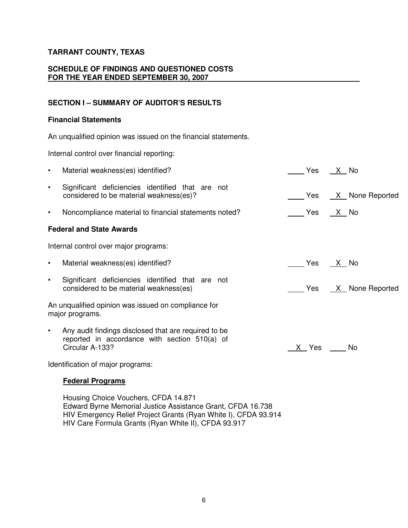# **SCHEDULE OF FINDINGS AND QUESTIONED COSTS FOR THE YEAR ENDED SEPTEMBER 30, 2007**

# **SECTION I – SUMMARY OF AUDITOR'S RESULTS**

## **Financial Statements**

An unqualified opinion was issued on the financial statements.

Internal control over financial reporting:

| $\bullet$ | Material weakness(es) identified?                                                                                        |             | Yes X No |      |                 |
|-----------|--------------------------------------------------------------------------------------------------------------------------|-------------|----------|------|-----------------|
| $\bullet$ | Significant deficiencies identified that are not<br>considered to be material weakness(es)?                              |             | Yes      |      | X None Reported |
| $\bullet$ | Noncompliance material to financial statements noted?                                                                    |             | Yes      | X No |                 |
|           | <b>Federal and State Awards</b>                                                                                          |             |          |      |                 |
|           | Internal control over major programs:                                                                                    |             |          |      |                 |
| $\bullet$ | Material weakness(es) identified?                                                                                        |             | Yes X No |      |                 |
| $\bullet$ | Significant deficiencies identified that are not<br>considered to be material weakness(es)                               | e Yes Yes S |          |      | X None Reported |
|           | An unqualified opinion was issued on compliance for<br>major programs.                                                   |             |          |      |                 |
| $\bullet$ | Any audit findings disclosed that are required to be<br>reported in accordance with section 510(a) of<br>Circular A-133? |             | X Yes    |      | No.             |
|           |                                                                                                                          |             |          |      |                 |

Identification of major programs:

# **Federal Programs**

Housing Choice Vouchers, CFDA 14.871 Edward Byrne Memorial Justice Assistance Grant, CFDA 16.738 HIV Emergency Relief Project Grants (Ryan White I), CFDA 93.914 HIV Care Formula Grants (Ryan White II), CFDA 93.917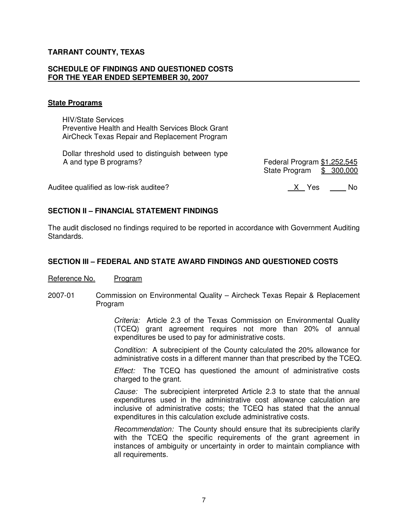#### **SCHEDULE OF FINDINGS AND QUESTIONED COSTS FOR THE YEAR ENDED SEPTEMBER 30, 2007**

#### **State Programs**

HIV/State Services Preventive Health and Health Services Block Grant AirCheck Texas Repair and Replacement Program

Dollar threshold used to distinguish between type<br>A and type B programs?

Federal Program \$1,252,545 State Program \$ 300,000

Auditee qualified as low-risk auditee? 
West Mo is a set of the Second Mo is a set of the North Mo is a set of the North Mo is a set of the North Mo is a set of the North Mo is a set of the North Mo is a set of the North M

# **SECTION II – FINANCIAL STATEMENT FINDINGS**

The audit disclosed no findings required to be reported in accordance with Government Auditing Standards.

### **SECTION III – FEDERAL AND STATE AWARD FINDINGS AND QUESTIONED COSTS**

#### Reference No. Program

2007-01 Commission on Environmental Quality – Aircheck Texas Repair & Replacement Program

> *Criteria:* Article 2.3 of the Texas Commission on Environmental Quality (TCEQ) grant agreement requires not more than 20% of annual expenditures be used to pay for administrative costs.

> *Condition:* A subrecipient of the County calculated the 20% allowance for administrative costs in a different manner than that prescribed by the TCEQ.

> *Effect:* The TCEQ has questioned the amount of administrative costs charged to the grant.

> *Cause:* The subrecipient interpreted Article 2.3 to state that the annual expenditures used in the administrative cost allowance calculation are inclusive of administrative costs; the TCEQ has stated that the annual expenditures in this calculation exclude administrative costs.

> *Recommendation:* The County should ensure that its subrecipients clarify with the TCEQ the specific requirements of the grant agreement in instances of ambiguity or uncertainty in order to maintain compliance with all requirements.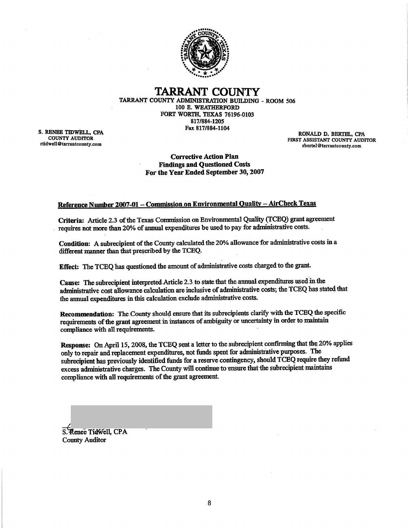

**TARRANT COUNTY** TARRANT COUNTY ADMINISTRATION BUILDING - ROOM 506 100 E. WEATHERFORD FORT WORTH, TEXAS 76196-0103 817/884-1205 Fax 817/884-1104

S. RENEE TIDWELL, CPA **COUNTY AUDITOR** rtidwell@tarrantcounty.com

RONALD D. BERTEL, CPA FIRST ASSISTANT COUNTY AUDITOR rbertel@tarrantcounty.com

**Corrective Action Plan Findings and Questioned Costs** For the Year Ended September 30, 2007

### Reference Number 2007-01 - Commission on Environmental Quality - AirCheck Texas

Criteria: Article 2.3 of the Texas Commission on Environmental Quality (TCEQ) grant agreement requires not more than 20% of annual expenditures be used to pay for administrative costs.

Condition: A subrecipient of the County calculated the 20% allowance for administrative costs in a different manner than that prescribed by the TCEQ.

Effect: The TCEQ has questioned the amount of administrative costs charged to the grant.

Cause: The subrecipient interpreted Article 2.3 to state that the annual expenditures used in the administrative cost allowance calculation are inclusive of administrative costs; the TCEQ has stated that the annual expenditures in this calculation exclude administrative costs.

Recommendation: The County should ensure that its subrecipients clarify with the TCEQ the specific requirements of the grant agreement in instances of ambiguity or uncertainty in order to maintain compliance with all requirements.

Response: On April 15, 2008, the TCEQ sent a letter to the subrecipient confirming that the 20% applies only to repair and replacement expenditures, not funds spent for administrative purposes. The subrecipient has previously identified funds for a reserve contingency, should TCEQ require they refund excess administrative charges. The County will continue to ensure that the subrecipient maintains compliance with all requirements of the grant agreement.

S. Renee Tidwell, CPA **County Auditor**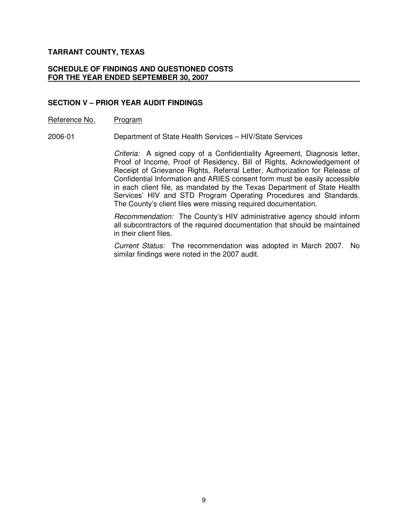#### **SCHEDULE OF FINDINGS AND QUESTIONED COSTS FOR THE YEAR ENDED SEPTEMBER 30, 2007**

### **SECTION V – PRIOR YEAR AUDIT FINDINGS**

#### Reference No. Program

2006-01 Department of State Health Services – HIV/State Services

*Criteria:* A signed copy of a Confidentiality Agreement, Diagnosis letter, Proof of Income, Proof of Residency, Bill of Rights, Acknowledgement of Receipt of Grievance Rights, Referral Letter, Authorization for Release of Confidential Information and ARIES consent form must be easily accessible in each client file, as mandated by the Texas Department of State Health Services' HIV and STD Program Operating Procedures and Standards. The County's client files were missing required documentation.

*Recommendation:* The County's HIV administrative agency should inform all subcontractors of the required documentation that should be maintained in their client files.

*Current Status:* The recommendation was adopted in March 2007. No similar findings were noted in the 2007 audit.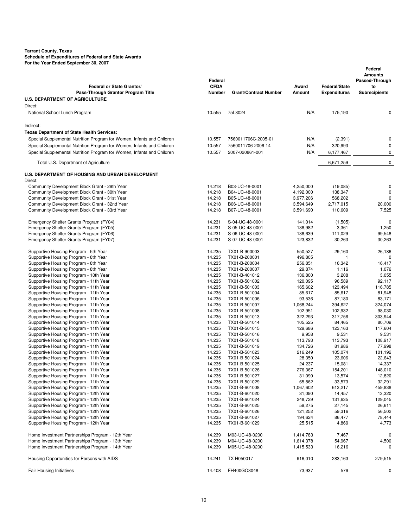|                                                                                  | Federal          |                                |                  |                      | Federal<br><b>Amounts</b><br>Passed-Through |
|----------------------------------------------------------------------------------|------------------|--------------------------------|------------------|----------------------|---------------------------------------------|
| <b>Federal or State Grantor/</b>                                                 | <b>CFDA</b>      |                                | Award            | <b>Federal/State</b> | to                                          |
| Pass-Through Grantor Program Title                                               | Number           | <b>Grant/Contract Number</b>   | Amount           | <b>Expenditures</b>  | <b>Subrecipients</b>                        |
| <b>U.S. DEPARTMENT OF AGRICULTURE</b>                                            |                  |                                |                  |                      |                                             |
| Direct:                                                                          |                  |                                |                  |                      |                                             |
| National School Lunch Program                                                    | 10.555           | 75L3024                        | N/A              | 175,190              | 0                                           |
| Indirect:                                                                        |                  |                                |                  |                      |                                             |
| <b>Texas Department of State Health Services:</b>                                |                  |                                |                  |                      |                                             |
| Special Supplemental Nutrition Program for Women, Infants and Children           | 10.557           | 7560011706C-2005-01            | N/A              | (2, 391)             | 0                                           |
| Special Supplemental Nutrition Program for Women, Infants and Children           | 10.557           | 7560011706-2006-14             | N/A              | 320,993              | 0                                           |
| Special Supplemental Nutrition Program for Women, Infants and Children           | 10.557           | 2007-020861-001                | N/A              | 6,177,467            | 0                                           |
| Total U.S. Department of Agriculture                                             |                  |                                |                  | 6,671,259            | 0                                           |
| U.S. DEPARTMENT OF HOUSING AND URBAN DEVELOPMENT                                 |                  |                                |                  |                      |                                             |
| Direct:                                                                          |                  |                                |                  |                      |                                             |
| Community Development Block Grant - 29th Year                                    | 14.218           | B03-UC-48-0001                 | 4,250,000        | (19,085)             | 0                                           |
| Community Development Block Grant - 30th Year                                    | 14.218           | B04-UC-48-0001                 | 4,192,000        | 138,347              | 0                                           |
| Community Development Block Grant - 31st Year                                    | 14.218           | B05-UC-48-0001                 | 3,977,206        | 568,202              | $\Omega$                                    |
| Community Development Block Grant - 32nd Year                                    | 14.218           | B06-UC-48-0001                 | 3,594,649        | 2,717,015            | 20,000                                      |
| Community Development Block Grant - 33rd Year                                    | 14.218           | B07-UC-48-0001                 | 3,591,690        | 110,609              | 7,525                                       |
| Emergency Shelter Grants Program (FY04)                                          | 14.231           | S-04-UC-48-0001                | 141,014          | (1,505)              | $\mathbf 0$                                 |
| Emergency Shelter Grants Program (FY05)                                          | 14.231           | S-05-UC-48-0001                | 138,982          | 3,361                | 1,250                                       |
| Emergency Shelter Grants Program (FY06)                                          | 14.231           | S-06-UC-48-0001                | 138,639          | 111,029              | 99,548                                      |
| Emergency Shelter Grants Program (FY07)                                          | 14.231           | S-07-UC-48-0001                | 123,832          | 30,263               | 30,263                                      |
| Supportive Housing Program - 5th Year                                            | 14.235           | TX01-B-900003                  | 550,527          | 29,160               | 26,186                                      |
| Supportive Housing Program - 8th Year                                            | 14.235           | TX01-B-200001                  | 496,805          | $\mathbf{1}$         | 0                                           |
| Supportive Housing Program - 8th Year                                            | 14.235           | TX01-B-200004                  | 256,851          | 16,342               | 16,417                                      |
| Supportive Housing Program - 8th Year                                            | 14.235           | TX01-B-200007                  | 29,874           | 1,116                | 1,076                                       |
| Supportive Housing Program - 10th Year                                           | 14.235           | TX01-B-401012                  | 136,800          | 3,208                | 3,055                                       |
| Supportive Housing Program - 11th Year                                           | 14.235           | TX01-B-501002                  | 120,095          | 96,589               | 92,117                                      |
| Supportive Housing Program - 11th Year                                           | 14.235           | TX01-B-501003                  | 165,602          | 123,494              | 116,785                                     |
| Supportive Housing Program - 11th Year                                           | 14.235           | TX01-B-501004                  | 85,617           | 85,617               | 81,948                                      |
| Supportive Housing Program - 11th Year                                           | 14.235           | TX01-B-501006                  | 93,536           | 87,180               | 83,171                                      |
| Supportive Housing Program - 11th Year                                           | 14.235           | TX01-B-501007                  | 1,068,244        | 394,627              | 324,074                                     |
| Supportive Housing Program - 11th Year                                           | 14.235           | TX01-B-501008                  | 102,951          | 102,932              | 98,030                                      |
| Supportive Housing Program - 11th Year                                           | 14.235           | TX01-B-501013                  | 322,293          | 317,756              | 303,944                                     |
| Supportive Housing Program - 11th Year                                           | 14.235           | TX01-B-501014                  | 105,525          | 84,465               | 80,709                                      |
| Supportive Housing Program - 11th Year                                           | 14.235           | TX01-B-501015                  | 129,686          | 123,163              | 117,604                                     |
| Supportive Housing Program - 11th Year<br>Supportive Housing Program - 11th Year | 14.235<br>14.235 | TX01-B-501016<br>TX01-B-501018 | 9,958<br>113,793 | 9,531<br>113,793     | 9,531<br>108,917                            |
| Supportive Housing Program - 11th Year                                           | 14.235           | TX01-B-501019                  | 134,726          | 81,986               | 77,998                                      |
| Supportive Housing Program - 11th Year                                           | 14.235           | TX01-B-501023                  | 216,249          | 105,074              | 101,192                                     |
| Supportive Housing Program - 11th Year                                           | 14.235           | TX01-B-501024                  | 28,350           | 23,606               | 22,643                                      |
| Supportive Housing Program - 11th Year                                           | 14.235           | TX01-B-501025                  | 24,237           | 15,081               | 14,337                                      |
| Supportive Housing Program - 11th Year                                           | 14.235           | TX01-B-501026                  | 276,367          | 154,201              | 148,010                                     |
| Supportive Housing Program - 11th Year                                           | 14.235           | TX01-B-501027                  | 31,090           | 13,574               | 12,820                                      |
| Supportive Housing Program - 11th Year                                           | 14.235           | TX01-B-501029                  | 65,862           | 33,573               | 32,291                                      |
| Supportive Housing Program - 12th Year                                           | 14.235           | TX01-B-601008                  | 1,067,602        | 613,217              | 459,838                                     |
| Supportive Housing Program - 12th Year                                           | 14.235           | TX01-B-601020                  | 31,090           | 14,457               | 13,320                                      |
| Supportive Housing Program - 12th Year                                           | 14.235           | TX01-B-601024                  | 248,729          | 131,635              | 129,045                                     |
| Supportive Housing Program - 12th Year                                           | 14.235           | TX01-B-601025                  | 59,275           | 27,145               | 26,611                                      |
| Supportive Housing Program - 12th Year                                           | 14.235           | TX01-B-601026                  | 121,252          | 59,316               | 56,502                                      |
| Supportive Housing Program - 12th Year                                           | 14.235           | TX01-B-601027                  | 194,624          | 86,477               | 78,444                                      |
| Supportive Housing Program - 12th Year                                           | 14.235           | TX01-B-601029                  | 25,515           | 4,869                | 4,773                                       |
| Home Investment Partnerships Program - 12th Year                                 | 14.239           | M03-UC-48-0200                 | 1,414,783        | 7,467                | 0                                           |
| Home Investment Partnerships Program - 13th Year                                 | 14.239           | M04-UC-48-0200                 | 1,614,378        | 54,967               | 4,500                                       |
| Home Investment Partnerships Program - 14th Year                                 | 14.239           | M05-UC-48-0200                 | 1,415,533        | 16,216               | 0                                           |
| Housing Opportunities for Persons with AIDS                                      | 14.241           | TX H050017                     | 916,010          | 283,163              | 279,515                                     |
| <b>Fair Housing Initiatives</b>                                                  | 14.408           | FH400GO3048                    | 73,937           | 579                  | 0                                           |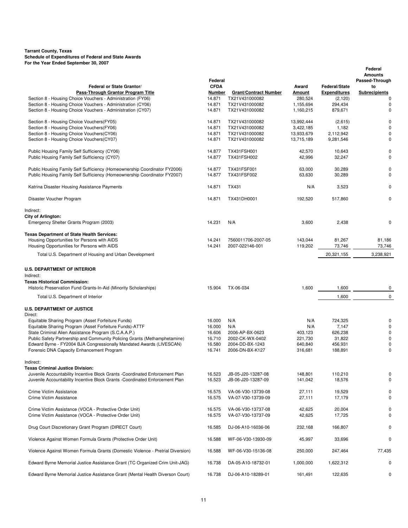| Federal or State Grantor/                                                                                                                              | Federal<br><b>CFDA</b> |                                       | Award                    | <b>Federal/State</b>   | Federal<br><b>Amounts</b><br>Passed-Through<br>to |
|--------------------------------------------------------------------------------------------------------------------------------------------------------|------------------------|---------------------------------------|--------------------------|------------------------|---------------------------------------------------|
| Pass-Through Grantor Program Title                                                                                                                     | Number                 | <b>Grant/Contract Number</b>          | Amount                   | <b>Expenditures</b>    | <b>Subrecipients</b>                              |
| Section 8 - Housing Choice Vouchers - Administration (FY06)                                                                                            | 14.871                 | TX21V431000082                        | 280,524                  | (2, 120)               | 0                                                 |
| Section 8 - Housing Choice Vouchers - Administration (CY06)                                                                                            | 14.871                 | TX21V431000082                        | 1,155,694                | 294,434                | 0                                                 |
| Section 8 - Housing Choice Vouchers - Administration (CY07)                                                                                            | 14.871                 | TX21V431000082                        | 1,160,215                | 879,671                | 0                                                 |
| Section 8 - Housing Choice Vouchers(FY05)                                                                                                              | 14.871                 | TX21V431000082                        | 13,992,444               | (2,615)                | 0                                                 |
| Section 8 - Housing Choice Vouchers(FY06)                                                                                                              | 14.871                 | TX21V431000082                        | 3,422,185                | 1,182                  | 0                                                 |
| Section 8 - Housing Choice Vouchers(CY06)<br>Section 8 - Housing Choice Vouchers(CY07)                                                                 | 14.871<br>14.871       | TX21V431000082<br>TX21V431000082      | 13,933,679<br>13,715,189 | 2,112,942<br>9,281,546 | 0<br>0                                            |
| Public Housing Family Self Sufficiency (CY06)                                                                                                          | 14.877                 | TX431FSH001                           | 42,570                   | 10,643                 | 0                                                 |
| Public Housing Family Self Sufficiency (CY07)                                                                                                          | 14.877                 | TX431FSH002                           | 42,996                   | 32,247                 | 0                                                 |
| Public Housing Family Self Sufficiency (Homeownership Coordinator FY2006)<br>Public Housing Family Self Sufficiency (Homeownership Coordinator FY2007) | 14.877<br>14.877       | TX431FSF001<br>TX431FSF002            | 63,000<br>63,630         | 30,289<br>30,289       | 0<br>0                                            |
| Katrina Disaster Housing Assistance Payments                                                                                                           | 14.871                 | TX431                                 | N/A                      | 3,523                  | 0                                                 |
| Disaster Voucher Program                                                                                                                               | 14.871                 | TX431DH0001                           | 192,520                  | 517,860                | 0                                                 |
| Indirect:                                                                                                                                              |                        |                                       |                          |                        |                                                   |
| <b>City of Arlington:</b><br>Emergency Shelter Grants Program (2003)                                                                                   | 14.231                 | N/A                                   | 3,600                    | 2,438                  | 0                                                 |
| <b>Texas Department of State Health Services:</b>                                                                                                      |                        |                                       |                          |                        |                                                   |
| Housing Opportunities for Persons with AIDS<br>Housing Opportunities for Persons with AIDS                                                             | 14.241<br>14.241       | 7560011706-2007-05<br>2007-022146-001 | 143,044<br>119,202       | 81,267<br>73,746       | 81,186<br>73,746                                  |
| Total U.S. Department of Housing and Urban Development                                                                                                 |                        |                                       |                          | 20,321,155             | 3,238,921                                         |
| <b>U.S. DEPARTMENT OF INTERIOR</b><br>Indirect:                                                                                                        |                        |                                       |                          |                        |                                                   |
| <b>Texas Historical Commission:</b>                                                                                                                    |                        |                                       |                          |                        |                                                   |
| Historic Preservation Fund Grants-In-Aid (Minority Scholarships)<br>Total U.S. Department of Interior                                                  | 15.904                 | TX-06-034                             | 1,600                    | 1,600<br>1,600         | 0<br>$\mathbf 0$                                  |
|                                                                                                                                                        |                        |                                       |                          |                        |                                                   |
| <b>U.S. DEPARTMENT OF JUSTICE</b><br>Direct:                                                                                                           |                        |                                       |                          |                        |                                                   |
| Equitable Sharing Program (Asset Forfeiture Funds)                                                                                                     | 16.000                 | N/A                                   | N/A                      | 724,325                | 0                                                 |
| Equitable Sharing Program (Asset Forfeiture Funds)-ATTF                                                                                                | 16.000                 | N/A                                   | N/A                      | 7,147                  | $\mathbf 0$                                       |
| State Criminal Alien Assistance Program (S.C.A.A.P.)                                                                                                   | 16.606                 | 2006-AP-BX-0623                       | 403,123                  | 626,238                | 0                                                 |
| Public Safety Partnership and Community Policing Grants (Methamphetamine)                                                                              | 16.710                 | 2002-CK-WX-0402                       | 221,730                  | 31,822                 | 0                                                 |
| Edward Byrne - FY2004 BJA Congressionally Mandated Awards (LIVESCAN)                                                                                   | 16.580                 | 2004-DD-BX-1243                       | 640,840                  | 456,931                | 0                                                 |
| Forensic DNA Capacity Enhancement Program                                                                                                              | 16.741                 | 2006-DN-BX-K127                       | 316,681                  | 188,891                | 0                                                 |
| Indirect:<br>Texas Criminal Justice Division:                                                                                                          |                        |                                       |                          |                        |                                                   |
| Juvenile Accountability Incentive Block Grants - Coordinated Enforcement Plan                                                                          | 16.523                 | JB-05-J20-13287-08                    | 148,801                  | 110,210                | 0                                                 |
| Juvenile Accountability Incentive Block Grants - Coordinated Enforcement Plan                                                                          | 16.523                 | JB-06-J20-13287-09                    | 141,042                  | 18,576                 | 0                                                 |
| Crime Victim Assistance                                                                                                                                | 16.575                 | VA-06-V30-13739-08                    | 27,111                   | 19,529                 | 0                                                 |
| Crime Victim Assistance                                                                                                                                | 16.575                 | VA-07-V30-13739-09                    | 27,111                   | 17,179                 | 0                                                 |
| Crime Victim Assistance (VOCA - Protective Order Unit)                                                                                                 | 16.575                 | VA-06-V30-13737-08                    | 42,625                   | 20,004                 | 0                                                 |
| Crime Victim Assistance (VOCA - Protective Order Unit)                                                                                                 | 16.575                 | VA-07-V30-13737-09                    | 42,625                   | 17,725                 | 0                                                 |
| Drug Court Discretionary Grant Program (DIRECT Court)                                                                                                  | 16.585                 | DJ-06-A10-16036-06                    | 232,168                  | 166,807                | 0                                                 |
| Violence Against Women Formula Grants (Protective Order Unit)                                                                                          | 16.588                 | WF-06-V30-13930-09                    | 45,997                   | 33,696                 | 0                                                 |
| Violence Against Women Formula Grants (Domestic Violence - Pretrial Diversion)                                                                         | 16.588                 | WF-06-V30-15136-08                    | 250,000                  | 247,464                | 77,435                                            |
| Edward Byrne Memorial Justice Assistance Grant (TC Organized Crim Unit-JAG)                                                                            | 16.738                 | DA-05-A10-18732-01                    | 1,000,000                | 1,622,312              | 0                                                 |
| Edward Byrne Memorial Justice Assistance Grant (Mental Health Diverson Court)                                                                          | 16.738                 | DJ-06-A10-18289-01                    | 161,491                  | 122,635                | 0                                                 |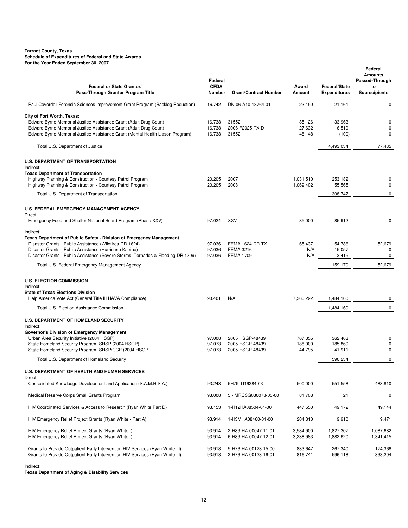| Federal or State Grantor/<br>Pass-Through Grantor Program Title                                                                                                                                                                                                                                                                               | Federal<br><b>CFDA</b><br>Number | <b>Grant/Contract Number</b>                          | Award<br>Amount              | <b>Federal/State</b><br><b>Expenditures</b> | Federal<br><b>Amounts</b><br>Passed-Through<br>to<br><b>Subrecipients</b> |
|-----------------------------------------------------------------------------------------------------------------------------------------------------------------------------------------------------------------------------------------------------------------------------------------------------------------------------------------------|----------------------------------|-------------------------------------------------------|------------------------------|---------------------------------------------|---------------------------------------------------------------------------|
| Paul Coverdell Forensic Sciences Improvement Grant Program (Backlog Reduction)                                                                                                                                                                                                                                                                | 16.742                           | DN-06-A10-18764-01                                    | 23,150                       | 21,161                                      | 0                                                                         |
| City of Fort Worth, Texas:<br>Edward Byrne Memorial Justice Assistance Grant (Adult Drug Court)<br>Edward Byrne Memorial Justice Assistance Grant (Adult Drug Court)<br>Edward Byrne Memorial Justice Assistance Grant (Mental Health Liason Program)                                                                                         | 16.738<br>16.738<br>16.738       | 31552<br>2006-F2025-TX-D<br>31552                     | 85,126<br>27,632<br>48,148   | 33,963<br>6,519<br>(100)                    | 0<br>0<br>0                                                               |
| Total U.S. Department of Justice                                                                                                                                                                                                                                                                                                              |                                  |                                                       |                              | 4,493,034                                   | 77,435                                                                    |
| <b>U.S. DEPARTMENT OF TRANSPORTATION</b><br>Indirect:<br><b>Texas Department of Transportation</b>                                                                                                                                                                                                                                            |                                  |                                                       |                              |                                             |                                                                           |
| Highway Planning & Construction - Courtesy Patrol Program<br>Highway Planning & Construction - Courtesy Patrol Program                                                                                                                                                                                                                        | 20.205<br>20.205                 | 2007<br>2008                                          | 1,031,510<br>1,069,402       | 253,182<br>55,565                           | 0<br>$\pmb{0}$                                                            |
| Total U.S. Department of Transportation                                                                                                                                                                                                                                                                                                       |                                  |                                                       |                              | 308,747                                     | $\mathbf 0$                                                               |
| <b>U.S. FEDERAL EMERGENCY MANAGEMENT AGENCY</b><br>Direct:                                                                                                                                                                                                                                                                                    |                                  |                                                       |                              |                                             |                                                                           |
| Emergency Food and Shelter National Board Program (Phase XXV)                                                                                                                                                                                                                                                                                 | 97.024                           | <b>XXV</b>                                            | 85,000                       | 85,912                                      | 0                                                                         |
| Indirect:<br>Texas Department of Public Safety - Division of Emergency Management<br>Disaster Grants - Public Assistance (Wildfires-DR-1624)<br>Disaster Grants - Public Assistance (Hurricane Katrina)<br>Disaster Grants - Public Assistance (Severe Storms, Tornados & Flooding-DR 1709)<br>Total U.S. Federal Emergency Management Agency | 97.036<br>97.036<br>97.036       | FEMA-1624-DR-TX<br>FEMA-3216<br><b>FEMA-1709</b>      | 65,437<br>N/A<br>N/A         | 54,786<br>15,057<br>3,415<br>159,170        | 52,679<br>0<br>0<br>52,679                                                |
| <b>U.S. ELECTION COMMISSION</b><br>Indirect:                                                                                                                                                                                                                                                                                                  |                                  |                                                       |                              |                                             |                                                                           |
| <b>State of Texas Elections Division</b><br>Help America Vote Act (General Title III HAVA Compliance)                                                                                                                                                                                                                                         | 90.401                           | N/A                                                   | 7,360,292                    | 1,484,160                                   | 0                                                                         |
| Total U.S. Election Assistance Commission                                                                                                                                                                                                                                                                                                     |                                  |                                                       |                              | 1,484,160                                   | $\mathbf{0}$                                                              |
| <b>U.S. DEPARTMENT OF HOMELAND SECURITY</b><br>Indirect:                                                                                                                                                                                                                                                                                      |                                  |                                                       |                              |                                             |                                                                           |
| <b>Governor's Division of Emergency Management</b><br>Urban Area Security Initiative (2004 HSGP)<br>State Homeland Security Program - SHSP (2004 HSGP)<br>State Homeland Security Program - SHSP/CCP (2004 HSGP)                                                                                                                              | 97.008<br>97.073<br>97.073       | 2005 HSGP-48439<br>2005 HSGP-48439<br>2005 HSGP-48439 | 767,355<br>188,000<br>44,795 | 362,463<br>185,860<br>41,911                | 0<br>0<br>$\mathbf 0$                                                     |
| Total U.S. Department of Homeland Security                                                                                                                                                                                                                                                                                                    |                                  |                                                       |                              | 590,234                                     | 0                                                                         |
| <b>U.S. DEPARTMENT OF HEALTH AND HUMAN SERVICES</b><br>Direct:                                                                                                                                                                                                                                                                                |                                  |                                                       |                              |                                             |                                                                           |
| Consolidated Knowledge Development and Application (S.A.M.H.S.A.)                                                                                                                                                                                                                                                                             | 93.243                           | 5H79-TI16284-03                                       | 500,000                      | 551,558                                     | 483,810                                                                   |
| Medical Reserve Corps Small Grants Program                                                                                                                                                                                                                                                                                                    | 93.008                           | 5 - MRCSG030078-03-00                                 | 81,708                       | 21                                          | 0                                                                         |
| HIV Coordinated Services & Access to Research (Ryan White Part D)                                                                                                                                                                                                                                                                             | 93.153                           | 1-H12HA08504-01-00                                    | 447,550                      | 49,172                                      | 49,144                                                                    |
| HIV Emergency Relief Project Grants (Ryan White - Part A)                                                                                                                                                                                                                                                                                     | 93.914                           | 1-H3MHA08460-01-00                                    | 204,310                      | 9,910                                       | 9,471                                                                     |
| HIV Emergency Relief Project Grants (Ryan White I)<br>HIV Emergency Relief Project Grants (Ryan White I)                                                                                                                                                                                                                                      | 93.914<br>93.914                 | 2-H89-HA-00047-11-01<br>6-H89-HA-00047-12-01          | 3,584,900<br>3,238,983       | 1,827,307<br>1,882,620                      | 1,087,682<br>1,341,415                                                    |
| Grants to Provide Outpatient Early Intervention HIV Services (Ryan White III)<br>Grants to Provide Outpatient Early Intervention HIV Services (Ryan White III)                                                                                                                                                                                | 93.918<br>93.918                 | 5-H76-HA-00123-15-00<br>2-H76-HA-00123-16-01          | 833,647<br>816,741           | 267,340<br>596,118                          | 174,366<br>333,204                                                        |

#### Indirect:

**Texas Department of Aging & Disability Services**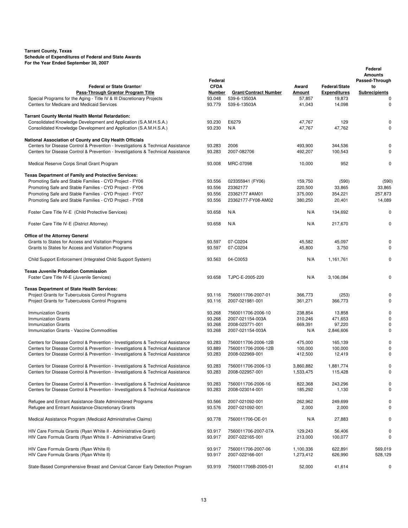|                                                                                                                      | Federal          |                                        |                    |                      | Federal<br><b>Amounts</b><br>Passed-Through |
|----------------------------------------------------------------------------------------------------------------------|------------------|----------------------------------------|--------------------|----------------------|---------------------------------------------|
| Federal or State Grantor/                                                                                            | <b>CFDA</b>      |                                        | Award              | <b>Federal/State</b> | to                                          |
| Pass-Through Grantor Program Title                                                                                   | Number           | <b>Grant/Contract Number</b>           | <b>Amount</b>      | <b>Expenditures</b>  | <b>Subrecipients</b>                        |
| Special Programs for the Aging - Title IV & III Discretionary Projects<br>Centers for Medicare and Medicaid Services | 93.048<br>93.779 | 539-6-13503A<br>539-6-13503A           | 57,857<br>41,043   | 19,873<br>14,098     | 0<br>0                                      |
| Tarrant County Mental Health Mental Retardation:                                                                     |                  |                                        |                    |                      |                                             |
| Consolidated Knowledge Development and Application (S.A.M.H.S.A.)                                                    | 93.230           | E6279                                  | 47,767             | 129                  | 0                                           |
| Consolidated Knowledge Development and Application (S.A.M.H.S.A.)                                                    | 93.230           | N/A                                    | 47,767             | 47,762               | $\mathbf 0$                                 |
| National Association of County and City Health Officials                                                             |                  |                                        |                    |                      |                                             |
| Centers for Disease Control & Prevention - Investigations & Technical Assistance                                     | 93.283           | 2006                                   | 493.900            | 344,536              | 0                                           |
| Centers for Disease Control & Prevention - Investigations & Technical Assistance                                     | 93.283           | 2007-082706                            | 492,207            | 100,543              | $\mathbf 0$                                 |
| Medical Reserve Corps Small Grant Program                                                                            | 93.008           | MRC-07098                              | 10,000             | 952                  | 0                                           |
| <b>Texas Department of Family and Protective Services:</b>                                                           |                  |                                        |                    |                      |                                             |
| Promoting Safe and Stable Families - CYD Project - FY06                                                              | 93.556           | 023355941 (FY06)                       | 159,750            | (590)                | (590)                                       |
| Promoting Safe and Stable Families - CYD Project - FY06                                                              | 93.556           | 23362177                               | 220,500            | 33,865               | 33,865                                      |
| Promoting Safe and Stable Families - CYD Project - FY07                                                              | 93.556           | 23362177 #AM01                         | 375,000            | 354,221              | 257,873                                     |
| Promoting Safe and Stable Families - CYD Project - FY08                                                              | 93.556           | 23362177-FY08-AM02                     | 380,250            | 20,401               | 14,089                                      |
| Foster Care Title IV-E (Child Protective Services)                                                                   | 93.658           | N/A                                    | N/A                | 134,692              | 0                                           |
| Foster Care Title IV-E (District Attorney)                                                                           | 93.658           | N/A                                    | N/A                | 217,670              | 0                                           |
| Office of the Attorney General                                                                                       |                  |                                        |                    |                      |                                             |
| Grants to States for Access and Visitation Programs                                                                  | 93.597           | 07-C0204                               | 45,582             | 45,097               | 0                                           |
| Grants to States for Access and Visitation Programs                                                                  | 93.597           | 07-C0204                               | 45,800             | 3,750                | 0                                           |
| Child Support Enforcement (Integrated Child Support System)                                                          | 93.563           | 04-C0053                               | N/A                | 1,161,761            | 0                                           |
| <b>Texas Juvenile Probation Commission</b><br>Foster Care Title IV-E (Juvenile Services)                             | 93.658           | TJPC-E-2005-220                        | N/A                | 3,106,084            | 0                                           |
|                                                                                                                      |                  |                                        |                    |                      |                                             |
| <b>Texas Department of State Health Services:</b><br>Project Grants for Tuberculosis Control Programs                | 93.116           | 7560011706-2007-01                     | 366,773            |                      | 0                                           |
|                                                                                                                      | 93.116           |                                        |                    | (253)                | $\mathbf 0$                                 |
| Project Grants for Tuberculosis Control Programs                                                                     |                  | 2007-021981-001                        | 361,271            | 366,773              |                                             |
| <b>Immunization Grants</b><br>Immunization Grants                                                                    | 93.268<br>93.268 | 7560011706-2006-10<br>2007-021154-003A | 238,854<br>310,246 | 13,858<br>471,653    | 0<br>0                                      |
| <b>Immunization Grants</b>                                                                                           | 93.268           | 2008-023771-001                        | 669,391            | 97,220               | 0                                           |
| Immunization Grants - Vaccine Commodities                                                                            | 93.268           | 2007-021154-003A                       | N/A                | 2,846,606            | 0                                           |
| Centers for Disease Control & Prevention - Investigations & Technical Assistance                                     | 93.283           | 7560011706-2006-12B                    | 475,000            | 165,139              | 0                                           |
| Centers for Disease Control & Prevention - Investigations & Technical Assistance                                     | 93.889           | 7560011706-2006-12B                    | 100,000            | 100,000              | 0                                           |
| Centers for Disease Control & Prevention - Investigations & Technical Assistance                                     | 93.283           | 2008-022969-001                        | 412,500            | 12,419               | 0                                           |
| Centers for Disease Control & Prevention - Investigations & Technical Assistance                                     | 93.283           | 7560011706-2006-13                     | 3,860,882          | 1,881,774            | 0                                           |
| Centers for Disease Control & Prevention - Investigations & Technical Assistance                                     | 93.283           | 2008-022957-001                        | 1,533,475          | 115,428              | 0                                           |
| Centers for Disease Control & Prevention - Investigations & Technical Assistance                                     | 93.283           | 7560011706-2006-16                     | 822,368            | 243,296              | 0                                           |
| Centers for Disease Control & Prevention - Investigations & Technical Assistance                                     | 93.283           | 2008-023014-001                        | 185,292            | 1,130                | 0                                           |
| Refugee and Entrant Assistance-State Administered Programs                                                           | 93.566           | 2007-021092-001                        | 262,962            | 249,699              | 0                                           |
| Refugee and Entrant Assistance-Discretionary Grants                                                                  | 93.576           | 2007-021092-001                        | 2,000              | 2,000                | 0                                           |
| Medical Assistance Program (Medicaid Administrative Claims)                                                          | 93.778           | 7560011706-OE-01                       | N/A                | 27,883               | 0                                           |
| HIV Care Formula Grants (Ryan White II - Administrative Grant)                                                       | 93.917           | 7560011706-2007-07A                    | 129,243            | 56,406               | 0                                           |
| HIV Care Formula Grants (Ryan White II - Administrative Grant)                                                       | 93.917           | 2007-022165-001                        | 213,000            | 100,077              | 0                                           |
| HIV Care Formula Grants (Ryan White II)                                                                              | 93.917           | 7560011706-2007-06                     | 1,100,336          | 622,891              | 569,019                                     |
| HIV Care Formula Grants (Ryan White II)                                                                              | 93.917           | 2007-022166-001                        | 1,273,412          | 626,990              | 528,129                                     |
| State-Based Comprehensive Breast and Cervical Cancer Early Detection Program                                         | 93.919           | 7560011706B-2005-01                    | 52,000             | 41,614               | 0                                           |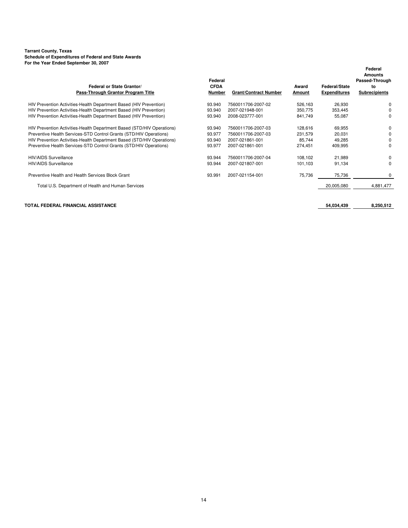| Federal or State Grantor/<br>Pass-Through Grantor Program Title        | Federal<br><b>CFDA</b><br>Number | <b>Grant/Contract Number</b> | Award<br>Amount | <b>Federal/State</b><br><b>Expenditures</b> | Federal<br><b>Amounts</b><br>Passed-Through<br>to<br><b>Subrecipients</b> |
|------------------------------------------------------------------------|----------------------------------|------------------------------|-----------------|---------------------------------------------|---------------------------------------------------------------------------|
| HIV Prevention Activities-Health Department Based (HIV Prevention)     | 93.940                           | 7560011706-2007-02           | 526,163         | 26,930                                      | 0                                                                         |
| HIV Prevention Activities-Health Department Based (HIV Prevention)     | 93.940                           | 2007-021948-001              | 350,775         | 353.445                                     | 0                                                                         |
| HIV Prevention Activities-Health Department Based (HIV Prevention)     | 93.940                           | 2008-023777-001              | 841,749         | 55,087                                      | 0                                                                         |
| HIV Prevention Activities-Health Department Based (STD/HIV Operations) | 93.940                           | 7560011706-2007-03           | 128,616         | 69,955                                      | 0                                                                         |
| Preventive Health Services-STD Control Grants (STD/HIV Operations)     | 93.977                           | 7560011706-2007-03           | 231,579         | 20,031                                      | 0                                                                         |
| HIV Prevention Activities-Health Department Based (STD/HIV Operations) | 93.940                           | 2007-021861-001              | 85,744          | 49,285                                      | $\Omega$                                                                  |
| Preventive Health Services-STD Control Grants (STD/HIV Operations)     | 93.977                           | 2007-021861-001              | 274,451         | 409,995                                     | 0                                                                         |
| HIV/AIDS Surveillance                                                  | 93.944                           | 7560011706-2007-04           | 108,102         | 21,989                                      | 0                                                                         |
| <b>HIV/AIDS Surveillance</b>                                           | 93.944                           | 2007-021807-001              | 101,103         | 91,134                                      | $\Omega$                                                                  |
| Preventive Health and Health Services Block Grant                      | 93.991                           | 2007-021154-001              | 75,736          | 75,736                                      | 0                                                                         |
| Total U.S. Department of Health and Human Services                     |                                  |                              |                 | 20,005,080                                  | 4,881,477                                                                 |
|                                                                        |                                  |                              |                 |                                             |                                                                           |

#### **TOTAL FEDERAL FINANCIAL ASSISTANCE 54,034,439 8,250,512**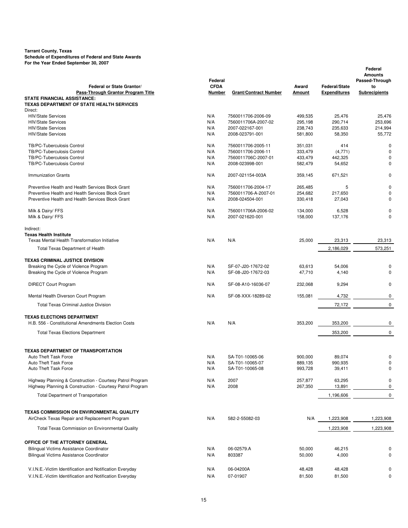| TOT the Tear Ended Oeptember 00, 2007<br>Federal or State Grantor/                       | Federal<br><b>CFDA</b> |                                        | Award              | <b>Federal/State</b> | Federal<br><b>Amounts</b><br>Passed-Through<br>to |
|------------------------------------------------------------------------------------------|------------------------|----------------------------------------|--------------------|----------------------|---------------------------------------------------|
| Pass-Through Grantor Program Title<br><b>STATE FINANCIAL ASSISTANCE:</b>                 | Number                 | <b>Grant/Contract Number</b>           | Amount             | <b>Expenditures</b>  | <b>Subrecipients</b>                              |
| TEXAS DEPARTMENT OF STATE HEALTH SERVICES                                                |                        |                                        |                    |                      |                                                   |
| Direct:                                                                                  |                        |                                        |                    |                      |                                                   |
| <b>HIV/State Services</b>                                                                | N/A                    | 7560011706-2006-09                     | 499,535            | 25,476               | 25,476                                            |
| <b>HIV/State Services</b>                                                                | N/A                    | 7560011706A-2007-02                    | 295,198            | 290,714              | 253,696                                           |
| <b>HIV/State Services</b>                                                                | N/A                    | 2007-022167-001                        | 238,743            | 235,633              | 214,994                                           |
| <b>HIV/State Services</b>                                                                | N/A                    | 2008-023791-001                        | 581,800            | 58,350               | 55,772                                            |
| TB/PC-Tuberculosis Control                                                               | N/A                    | 7560011706-2005-11                     | 351,031            | 414                  | 0                                                 |
| TB/PC-Tuberculosis Control                                                               | N/A                    | 7560011706-2006-11                     | 333,479            | (4,771)              | $\mathbf 0$                                       |
| TB/PC-Tuberculosis Control                                                               | N/A                    | 7560011706C-2007-01                    | 433,479            | 442,325              | $\mathbf 0$                                       |
| TB/PC-Tuberculosis Control                                                               | N/A                    | 2008-023998-001                        | 582,479            | 54,652               | $\mathbf 0$                                       |
| <b>Immunization Grants</b>                                                               | N/A                    | 2007-021154-003A                       | 359,145            | 671,521              | $\mathbf 0$                                       |
| Preventive Health and Health Services Block Grant                                        | N/A                    | 7560011706-2004-17                     | 265,485            | 5                    | 0                                                 |
| Preventive Health and Health Services Block Grant                                        | N/A                    | 7560011706-A-2007-01                   | 254,682            | 217,650              | $\mathbf 0$                                       |
| Preventive Health and Health Services Block Grant                                        | N/A                    | 2008-024504-001                        | 330,418            | 27,043               | $\mathbf 0$                                       |
|                                                                                          |                        |                                        |                    |                      |                                                   |
| Milk & Dairy/ FFS<br>Milk & Dairy/ FFS                                                   | N/A<br>N/A             | 7560011706A-2006-02<br>2007-021620-001 | 134,000<br>158,000 | 6,528<br>137,176     | 0<br>$\Omega$                                     |
|                                                                                          |                        |                                        |                    |                      |                                                   |
| Indirect:                                                                                |                        |                                        |                    |                      |                                                   |
| <b>Texas Health Institute</b><br>Texas Mental Health Transformation Initiative           |                        | N/A                                    |                    |                      |                                                   |
|                                                                                          | N/A                    |                                        | 25,000             | 23,313               | 23,313                                            |
| <b>Total Texas Department of Health</b>                                                  |                        |                                        |                    | 2,186,029            | 573,251                                           |
| <b>TEXAS CRIMINAL JUSTICE DIVISION</b>                                                   |                        |                                        |                    |                      |                                                   |
| Breaking the Cycle of Violence Program                                                   | N/A                    | SF-07-J20-17672-02                     | 63,613             | 54,006               | 0                                                 |
| Breaking the Cycle of Violence Program                                                   | N/A                    | SF-08-J20-17672-03                     | 47,710             | 4,140                | $\mathbf 0$                                       |
| <b>DIRECT Court Program</b>                                                              | N/A                    | SF-08-A10-16036-07                     | 232,068            | 9,294                | 0                                                 |
| Mental Health Diverson Court Program                                                     | N/A                    | SF-08-XXX-18289-02                     | 155,081            | 4,732                | 0                                                 |
| <b>Total Texas Criminal Justice Division</b>                                             |                        |                                        |                    | 72,172               | 0                                                 |
|                                                                                          |                        |                                        |                    |                      |                                                   |
| <b>TEXAS ELECTIONS DEPARTMENT</b><br>H.B. 556 - Constitutional Amendments Election Costs | N/A                    | N/A                                    |                    |                      |                                                   |
|                                                                                          |                        |                                        | 353,200            | 353,200              | 0                                                 |
| <b>Total Texas Elections Department</b>                                                  |                        |                                        |                    | 353,200              | 0                                                 |
| TEXAS DEPARTMENT OF TRANSPORTATION                                                       |                        |                                        |                    |                      |                                                   |
| Auto Theft Task Force                                                                    | N/A                    | SA-T01-10065-06                        | 900,000            | 89,074               | 0                                                 |
| <b>Auto Theft Task Force</b>                                                             | N/A                    | SA-T01-10065-07                        | 889,135            | 990,935              | 0                                                 |
| Auto Theft Task Force                                                                    | N/A                    | SA-T01-10065-08                        | 993,728            | 39,411               | 0                                                 |
| Highway Planning & Construction - Courtesy Patrol Program                                | N/A                    | 2007                                   | 257,877            | 63,295               | 0                                                 |
| Highway Planning & Construction - Courtesy Patrol Program                                | N/A                    | 2008                                   | 267,350            | 13,891               | 0                                                 |
| <b>Total Department of Transportation</b>                                                |                        |                                        |                    | 1,196,606            | 0                                                 |
|                                                                                          |                        |                                        |                    |                      |                                                   |
| TEXAS COMMISSION ON ENVIRONMENTAL QUALITY                                                |                        |                                        |                    |                      |                                                   |
| AirCheck Texas Repair and Replacement Program                                            | N/A                    | 582-2-55082-03                         | N/A                | 1,223,908            | 1,223,908                                         |
| Total Texas Commission on Environmental Quality                                          |                        |                                        |                    | 1,223,908            | 1,223,908                                         |
| OFFICE OF THE ATTORNEY GENERAL                                                           |                        |                                        |                    |                      |                                                   |
| Bilingual Victims Assistance Coordinator                                                 | N/A                    | 06-02579.A                             | 50,000             | 46,215               | 0                                                 |
| <b>Bilingual Victims Assistance Coordinator</b>                                          | N/A                    | 803387                                 | 50,000             | 4,000                | 0                                                 |
|                                                                                          |                        |                                        |                    |                      |                                                   |
| V.I.N.E.-Victim Identification and Notification Everyday                                 | N/A                    | 06-04200A                              | 48,428             | 48,428               | 0                                                 |
| V.I.N.E.-Victim Identification and Notification Everyday                                 | N/A                    | 07-01907                               | 81,500             | 81,500               | 0                                                 |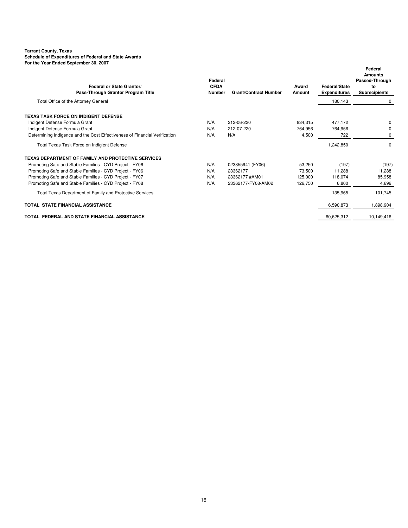#### **Tarrant County, Texas Schedule of Expenditures of Federal and State Awards**

**For the Year Ended September 30, 2007**

| r or the rear Ended Oeptember oo, 2007<br>Federal or State Grantor/<br>Pass-Through Grantor Program Title | Federal<br><b>CFDA</b><br>Number | <b>Grant/Contract Number</b> | Award<br>Amount    | <b>Federal/State</b><br><b>Expenditures</b> | Federal<br><b>Amounts</b><br>Passed-Through<br>to<br><b>Subrecipients</b> |
|-----------------------------------------------------------------------------------------------------------|----------------------------------|------------------------------|--------------------|---------------------------------------------|---------------------------------------------------------------------------|
| Total Office of the Attorney General                                                                      |                                  |                              |                    | 180,143                                     | 0                                                                         |
| TEXAS TASK FORCE ON INDIGENT DEFENSE<br>Indigent Defense Formula Grant<br>Indigent Defense Formula Grant  | N/A<br>N/A                       | 212-06-220<br>212-07-220     | 834.315<br>764,956 | 477.172<br>764.956                          | $\Omega$<br>$\Omega$                                                      |
| Determining Indigence and the Cost Effectiveness of Financial Verification                                | N/A                              | N/A                          | 4,500              | 722                                         | 0                                                                         |
| Total Texas Task Force on Indigient Defense                                                               |                                  |                              |                    | 1,242,850                                   | 0                                                                         |
| TEXAS DEPARTMENT OF FAMILY AND PROTECTIVE SERVICES                                                        |                                  |                              |                    |                                             |                                                                           |
| Promoting Safe and Stable Families - CYD Project - FY06                                                   | N/A                              | 023355941 (FY06)             | 53,250             | (197)                                       | (197)                                                                     |
| Promoting Safe and Stable Families - CYD Project - FY06                                                   | N/A                              | 23362177                     | 73,500             | 11.288                                      | 11,288                                                                    |
| Promoting Safe and Stable Families - CYD Project - FY07                                                   | N/A                              | 23362177 #AM01               | 125,000            | 118,074                                     | 85,958                                                                    |
| Promoting Safe and Stable Families - CYD Project - FY08                                                   | N/A                              | 23362177-FY08-AM02           | 126,750            | 6.800                                       | 4,696                                                                     |
| Total Texas Department of Family and Protective Services                                                  |                                  |                              |                    | 135,965                                     | 101,745                                                                   |
| TOTAL STATE FINANCIAL ASSISTANCE                                                                          |                                  |                              |                    | 6.590.873                                   | 1.898.904                                                                 |
| TOTAL FEDERAL AND STATE FINANCIAL ASSISTANCE                                                              |                                  |                              |                    | 60,625,312                                  | 10,149,416                                                                |